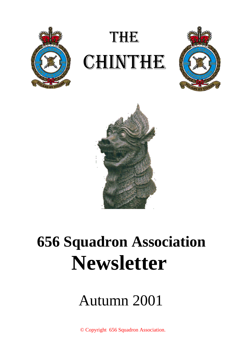

# THE **CHINTHE**





## **656 Squadron Association Newsletter**

## Autumn 2001

© Copyright 656 Squadron Association.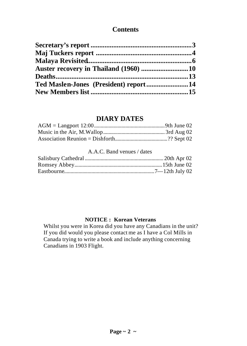## **Contents**

## **DIARY DATES**

#### A.A.C. Band venues / dates

### **NOTICE : Korean Veterans**

Whilst you were in Korea did you have any Canadians in the unit? If you did would you please contact me as I have a Col Mills in Canada trying to write a book and include anything concerning Canadians in 1903 Flight.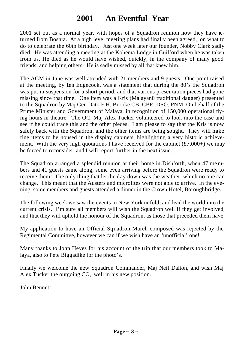## **2001 — An Eventful Year**

2001 set out as a normal year, with hopes of a Squadron reunion now they have returned from Bosnia. At a high level meeting plans had finally been agreed, on what to do to celebrate the 60th birthday. Just one week later our founder, Nobby Clark sadly died. He was attending a meeting at the Kohema Lodge in Guilford when he was taken from us. He died as he would have wished, quickly, in the company of many good friends, and helping others. He is sadly missed by all that knew him.

The AGM in June was well attended with 21 members and 9 guests. One point raised at the meeting, by Len Edgecock, was a statement that during the 80's the Squadron was put in suspension for a short period, and that various presentation pieces had gone missing since that time. One item was a Kris (Malayan0 traditional dagger) presented to the Squadron by Maj.Gen Dato F.H. Brooke CB. CBE. DSO. PNM. On behalf of the Prime Minister and Government of Malaya, in recognition of 150,000 operational flying hours in theatre. The OC, Maj Alex Tucker volunteered to look into the case and see if he could trace this and the other pieces. I am please to say that the Kris is now safely back with the Squadron, and the other items are being sought. They will make fine items to be housed in the display cabinets, highlighting a very historic achievement. With the very high quotations I have received for the cabinet  $(\text{\textsterling}7,000+)$  we may be forced to reconsider, and I will report further in the next issue.

The Squadron arranged a splendid reunion at their home in Dishforth, when 47 me mbers and 41 guests came along, some even arriving before the Squadron were ready to receive them! The only thing that let the day down was the weather, which no one can change. This meant that the Austers and microlites were not able to arrive. In the evening some members and guests attended a dinner in the Crown Hotel, Boroughbridge.

The following week we saw the events in New York unfold, and lead the world into the current crisis. I'm sure all members will wish the Squadron well if they get involved, and that they will uphold the honour of the Squadron, as those that preceded them have.

My application to have an Official Squadron March composed was rejected by the Regimental Committee, however we can if we wish have an 'unofficial' one!

Many thanks to John Heyes for his account of the trip that our members took to Malaya, also to Pete Biggadike for the photo's.

Finally we welcome the new Squadron Commander, Maj Neil Dalton, and wish Maj Alex Tucker the outgoing CO, well in his new position.

John Bennett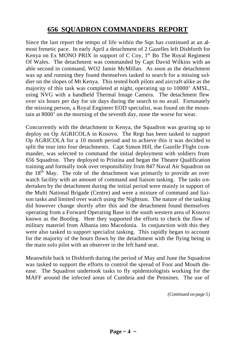## **656 SQUADRON COMMANDERS REPORT**

Since the last report the tempo of life within the Sqn has continued at an almost frenetic pace. In early April a detachment of 2 Gazelles left Dishforth for Kenya on Ex MONO PRIX in support of  $C$  Coy,  $1<sup>st</sup>$  Bn The Royal Regiment Of Wales. The detachment was commanded by Capt David Wilkins with an able second in command, WO2 Jamie McMillan. As soon as the detachment was up and running they found themselves tasked to search for a missing soldier on the slopes of Mt Kenya. This tested both pilots and aircraft alike as the majority of this task was completed at night, operating up to 10000' AMSL, using NVG with a handheld Thermal Image Camera. The detachment flew over six hours per day for six days during the search to no avail. Fortunately the missing person, a Royal Engineer EOD specialist, was found on the mountain at 8000' on the morning of the seventh day, none the worse for wear.

Concurrently with the detachment in Kenya, the Squadron was gearing up to deploy on Op AGRICOLA in Kosovo. The Regt has been tasked to support Op AGRICOLA for a 10 month period and to achieve this it was decided to split the tour into four detachments. Capt Simon Hill, the Gazelle Flight commander, was selected to command the initial deployment with soldiers from 656 Squadron. They deployed to Pristina and began the Theatre Qualification training and formally took over responsibility from 847 Naval Air Squadron on the 18<sup>th</sup> May. The role of the detachment was primarily to provide an over watch facility with an amount of command and liaison tasking. The tasks undertaken by the detachment during the initial period were mainly in support of the Multi National Brigade (Centre) and were a mixture of command and liaison tasks and limited over watch using the Nightsun. The nature of the tasking did however change shortly after this and the detachment found themselves operating from a Forward Operating Base in the south western area of Kosovo known as the Bootleg. Here they supported the efforts to check the flow of military materiel from Albania into Macedonia. In conjunction with this they were also tasked to support specialist tasking. This rapidly began to account for the majority of the hours flown by the detachment with the flying being in the main solo pilot with an observer in the left hand seat.

Meanwhile back in Dishforth during the period of May and June the Squadron was tasked to support the efforts to control the spread of Foot and Mouth disease. The Squadron undertook tasks to fly epidemiologists working for the MAFF around the infected areas of Cumbria and the Pennines. The use of

*(Continued on page 5)*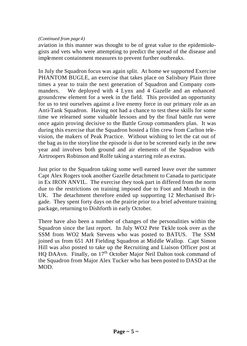#### *(Continued from page 4)*

aviation in this manner was thought to be of great value to the epidemiologists and vets who were attempting to predict the spread of the disease and implement containment measures to prevent further outbreaks.

In July the Squadron focus was again split. At home we supported Exercise PHANTOM BUGLE, an exercise that takes place on Salisbury Plain three times a year to train the next generation of Squadron and Company commanders. We deployed with 4 Lynx and 4 Gazelle and an enhanced groundcrew element for a week in the field. This provided an opportunity for us to test ourselves against a live enemy force in our primary role as an Anti-Tank Squadron. Having not had a chance to test these skills for some time we relearned some valuable lessons and by the final battle run were once again proving decisive to the Battle Group commanders plan. It was during this exercise that the Squadron hosted a film crew from Carlton television, the makers of Peak Practice. Without wishing to let the cat out of the bag as to the storyline the episode is due to be screened early in the new year and involves both ground and air elements of the Squadron with Airtroopers Robinson and Rolfe taking a starring role as extras.

Just prior to the Squadron taking some well earned leave over the summer Capt Alex Rogers took another Gazelle detachment to Canada to participate in Ex IRON ANVIL. The exercise they took part in differed from the norm due to the restrictions on training imposed due to Foot and Mouth in the UK. The detachment therefore ended up supporting 12 Mechanised Brigade. They spent forty days on the prairie prior to a brief adventure training package, returning to Dishforth in early October.

There have also been a number of changes of the personalities within the Squadron since the last report. In July WO2 Pete Tickle took over as the SSM from WO2 Mark Stevens who was posted to BATUS. The SSM joined us from 651 AH Fielding Squadron at Middle Wallop. Capt Simon Hill was also posted to take up the Recruiting and Liaison Officer post at HQ DAAvn. Finally, on 17<sup>th</sup> October Major Neil Dalton took command of the Squadron from Major Alex Tucker who has been posted to DASD at the MOD.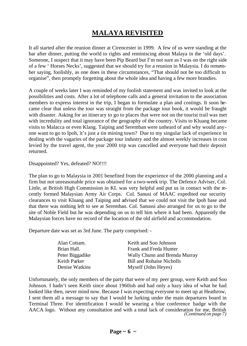## **MALAYA REVISITED**

It all started after the reunion dinner at Cirencester in 1999. A few of us were standing at the bar after dinner, putting the world to rights and reminiscing about Malaya in the 'old days'. Someone, I suspect that it may have been Pip Beard but I'm not sure as I was on the right side of a few ' Horses Necks', suggested that we should try for a reunion in Malaysia. I do remember saying, foolishly, as one does in these circumstances, "That should not be too difficult to organise", then promptly forgetting about the whole idea and having a few more brandies.

A couple of weeks later I was reminded of my foolish statement and was invited to look at the possibilities and costs. After a lot of telephone calls and a general invitation to the association members to express interest in the trip, I began to formulate a plan and costings. It soon became clear that unless the tour was straight from the package tour book, it would be fraught with disaster. Asking for an itinerary to go to places that were not on the tourist trail was met with incredulity and total ignorance of the geography of the country. Visits to Kluang became visits to Malacca or even Klang. Taiping and Seremban were unheard of and why would anyone want to go to Ipoh, it's just a tin mining town? Due to my singular lack of experience in dealing with the vagaries of the package tour industry and the almost weekly increases in cost levied by the travel agent, the year 2000 trip was cancelled and everyone had their deposit returned.

Disappointed? Yes, defeated? NO!!!!

The plan to go to Malaysia in 2001 benefited from the experience of the 2000 planning and a firm but not unreasonable price was obtained for a two-week trip. The Defence Adviser, Col. Little, at British High Commission in KL was very helpful and put us in contact with the recently formed Malaysian Army Air Corps. Col. Sanusi of MAAC expedited our security clearances to visit Kluang and Taiping and advised that we could not visit the Ipoh base and that there was nothing left to see at Seremban. Col. Sanussi also arranged for us to go to the site of Noble Field but he was depending on us to tell him where it had been. Apparently the Malaysian forces have no record of the location of the old airfield and accommodation.

Departure date was set as 3rd June. The party comprised: -

| Alan Cottam.    | Keith and Soo Johnson         |
|-----------------|-------------------------------|
| Brian Hall.     | Frank and Freda Hunter        |
| Peter Biggadike | Wally Chunn and Brenda Murray |
| Keith Parker    | Bill and Rohaise Nicholls     |
| Denise Watkins  | Myself (John Heyes)           |

Unfortunately, the only members of the party that were of my peer group, were Keith and Soo Johnson. I hadn't seen Keith since about 1960ish and had only a hazy idea of what he had looked like then, never mind now. Because I was expecting everyone to meet up at Heathrow, I sent them all a message to say that I would be lurking under the main departures board in Terminal Three. For identification I would be wearing a blue conference badge with the AACA logo. Without any consultation and with a total lack of consideration for me, British *(Continued on page 7)*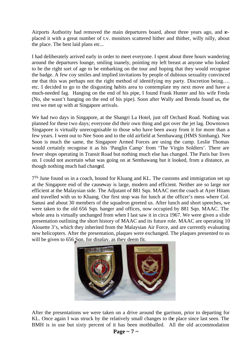Airports Authority had removed the main departures board, about three years ago, and replaced it with a great number of t.v. monitors scattered hither and thither, willy nilly, about the place. The best laid plans etc...

I had deliberately arrived early in order to meet everyone. I spent about three hours wandering around the departures lounge, smiling inanely, pointing my left breast at anyone who looked to be the right sort of age to be embarking on the tour and hoping that they would recognise the badge. A few coy smiles and implied invitations by people of dubious sexuality convinced me that this was perhaps not the right method of identifying my party. Discretion being…. etc. I decided to go to the disgusting habits area to contemplate my next move and have a much-needed fag. Hanging on the end of his pipe, I found Frank Hunter and his wife Freda (No, she wasn't hanging on the end of his pipe). Soon after Wally and Brenda found us, the rest we met up with at Singapore arrivals.

We had two days in Singapore, at the Shangri La Hotel, just off Orchard Road. Nothing was planned for these two days; everyone did their own thing and got over the jet lag. Downtown Singapore is virtually unrecognisable to those who have been away from it for more than a few years. I went out to Nee Soon and to the old airfield at Sembawang (HMS Simbang). Nee Soon is much the same, the Singapore Armed Forces are using the camp. Leslie Thomas would certainly recognise it as his 'Panglin Camp' from 'The Virgin Soldiers'. There are fewer shops operating in Transit Road but nothing much else has changed. The Paris bar lives on. I could not ascertain what was going on at Sembawang but it looked, from a distance, as though nothing much had changed.

<sup>7Th</sup> June found us in a coach, bound for Kluang and KL. The customs and immigration set up at the Singapore end of the causeway is large, modern and efficient. Neither are so large nor efficient at the Malaysian side. The Adjutant of 881 Sqn. MAAC met the coach at Ayer Hitam and travelled with us to Kluang. Our first stop was for lunch at the officer's mess where Col. Sanusi and about 30 members of the squadron greeted us. After lunch and short speeches, we were taken to the old 656 Sqn. hanger and offices, now occupied by 881 Sqn. MAAC. The whole area is virtually unchanged from when I last saw it in circa 1967. We were given a slide presentation outlining the short history of MAAC and its future role. MAAC are operating 10 Alouette 3's, which they inherited from the Malaysian Air Force, and are currently evaluating new helicopters. After the presentation, plaques were exchanged. The plaques presented to us will be given to 656 Sqn. for display, as they deem fit.



After the presentations we were taken on a drive around the garrison, prior to departing for KL. Once again I was struck by the relatively small changes to the place since last seen. The BMH is in use but sixty percent of it has been mothballed. All the old accommodation

### **Page ~ 7 ~**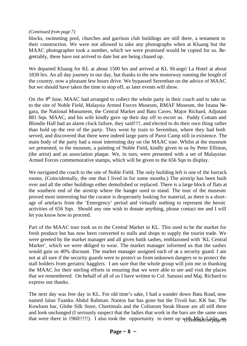#### *(Continued from page 7)*

blocks, swimming pool, churches and garrison club buildings are still there, a testament to their construction. We were not allowed to take any photographs when at Kluang but the MAAC photographer took a number, which we were promised would be copied for us. Regrettably, these have not arrived to date but are being chased up.

We departed Kluang for KL at about 1500 hrs and arrived at KL Sh angri La Hotel at about 1830 hrs. An all day journey in our day, but thanks to the new motorway running the length of the country, now a pleasant few hours drive. We bypassed Seremban on the advice of MAAC but we should have taken the time to stop off, as later events will show.

On the 8<sup>th</sup> June, MAAC had arranged to collect the whole party in their coach and to take us to the site of Noble Field, Malaysia Armed Forces Museum, RMAF Museum, the Istana Negara, the National Monument, the Central Market and Batu Caves. Major Richard, Adjutant 881 Sqn. MAAC, and his wife kindly gave up their day off to escort us. Paddy Cottam and Blondie Hall had an alarm clock failure, they said!!!!, and elected to do their own thing rather than hold up the rest of the party. They went by train to Seremban, where they had both served, and discovered that there were indeed large parts of Paroi Camp still in existence. The main body of the party had a most interesting day on the MAAC tour. Whilst at the museum we presented, to the museum, a painting of Noble Field, kindly given to us by Peter Elliston, (the artist) and an association plaque. We, in turn, were presented with a set of Malaysian Armed Forces commemorative stamps, which will be given to the 656 Sqn to display.

We navigated the coach to the site of Noble Field. The only building left is one of the barrack rooms. (Coincidentally, the one that I lived in for some months.) The airstrip has been built over and all the other buildings either demolished or replaced. There is a large block of flats at the southern end of the airstrip where the hanger used to stand. The tour of the museum proved most interesting but the curator is desperately looking for material, as there is a shortage of artefacts from the 'Emergency' period and virtually nothing to represent the heroic activities of 656 Sqn. Should any one wish to donate anything, please contact me and I will let you know how to proceed.

Part of the MAAC tour took us to the Central Market in KL. This used to be the market for fresh produce but has now been converted to stalls and shops to supply the tourist trade. We were greeted by the market manager and all given batik sashes, emblazoned with 'KL Central Market', which we were obliged to wear. The market manager informed us that the sashes would gain us 40% discount. The market manager assigned each of us a security guard. I am not at all sure if the security guards were to protect us from unknown dangers or to protect the stall holders from geriatric hagglers. I am sure that the whole group will join me in thanking the MAAC for their sterling efforts in ensuring that we were able to see and visit the places that we remembered. On behalf of all of us I have written to Col. Sanussi and Maj. Richard to express our thanks.

The next day was free day in KL. For old time's sake, I had a wander down Batu Road, now named Jalan Tuanku Abdul Rahman. Nantos bar has gone but the Tivoli bar, KK bar, The Kowloon bar, Globe Silk Store, Chortimals and the Coliseum Steak House are all still there and look unchanged (I seriously suspect that the ladies that work in the bars are the same ones that were there in 1960!!!!!). I also took the opportunity to meet up with, Mick Little,  $\alpha$ *n*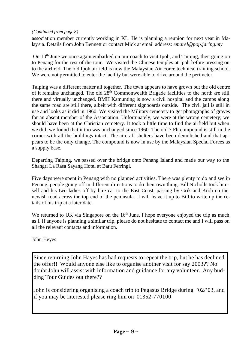#### *(Continued from page 8)*

association member currently working in KL. He is planning a reunion for next year in Malaysia. Details from John Bennett or contact Mick at email address: *emarel@pop.jaring.my*

On  $10<sup>th</sup>$  June we once again embarked on our coach to visit Ipoh, and Taiping, then going on to Penang for the rest of the tour. We visited the Chinese temples at Ipoh before pressing on to the airfield. The old Ipoh airfield is now the Malaysian Air Force technical training school. We were not permitted to enter the facility but were able to drive around the perimeter.

Taiping was a different matter all together. The town appears to have grown but the old centre of it remains unchanged. The old 28<sup>th</sup> Commonwealth Brigade facilities to the north are still there and virtually unchanged. BMH Kamunting is now a civil hospital and the camps along the same road are still there, albeit with different signboards outside. The civil jail is still in use and looks as it did in 1960. We visited the Military cemetery to get photographs of graves for an absent member of the Association. Unfortunately, we were at the wrong cemetery; we should have been at the Christian cemetery. It took a little time to find the airfield but when we did, we found that it too was unchanged since 1960. The old 7 Flt compound is still in the corner with all the buildings intact. The aircraft shelters have been demolished and that appears to be the only change. The compound is now in use by the Malaysian Special Forces as a supply base.

Departing Taiping, we passed over the bridge onto Penang Island and made our way to the Shangri La Rasa Sayang Hotel at Batu Ferringi.

Five days were spent in Penang with no planned activities. There was plenty to do and see in Penang, people going off in different directions to do their own thing. Bill Nicholls took himself and his two ladies off by hire car to the East Coast, passing by Grik and Kroh on the newish road across the top end of the peninsula. I will leave it up to Bill to write up the details of his trip at a later date.

We returned to UK via Singapore on the  $16<sup>th</sup>$  June. I hope everyone enjoyed the trip as much as I. If anyone is planning a similar trip, please do not hesitate to contact me and I will pass on all the relevant contacts and information.

John Heyes

Since returning John Hayes has had requests to repeat the trip, but he has declined the offer!! Would anyone else like to organise another visit for say 2003?? No doubt John will assist with information and guidance for any volunteer. Any budding Tour Guides out there??

John is considering organising a coach trip to Pegasus Bridge during '02/'03, and if you may be interested please ring him on 01352-770100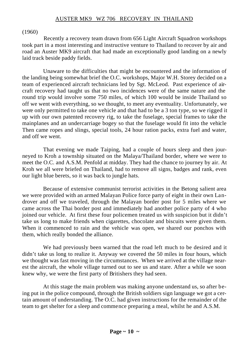#### AUSTER MK9 WZ 706 RECOVERY IN THAILAND

#### (1960)

Recently a recovery team drawn from 656 Light Aircraft Squadron workshops took part in a most interesting and instructive venture to Thailand to recover by air and road an Auster MK9 aircraft that had made an exceptionally good landing on a newly laid track beside paddy fields.

Unaware to the difficulties that might be encountered and the information of the landing being somewhat brief the O.C. workshops, Major W.H. Storey decided on a team of experienced aircraft technicians led by Sgt. McLeod. Past experience of aircraft recovery had taught us that no two incidences were of the same nature and the round trip would involve some 750 miles, of which 100 would be inside Thailand so off we went with everything, so we thought, to meet any eventuality. Unfortunately, we were only permitted to take one vehicle and that had to be a 3 ton type, so we rigged it up with our own patented recovery rig, to take the fuselage, special frames to take the mainplanes and an undercarriage bogey so that the fuselage would fit into the vehicle Then came ropes and slings, special tools, 24 hour ration packs, extra fuel and water, and off we went.

That evening we made Taiping, had a couple of hours sleep and then journeyed to Kroh a township situated on the Malaya/Thailand border, where we were to meet the O.C. and A.S.M. Penfold at midday. They had the chance to journey by air. At Kroh we all were briefed on Thailand, had to remove all signs, badges and rank, even our light blue berets, so it was back to jungle hats.

Because of extensive communist terrorist activities in the Betong salient area we were provided with an armed Malayan Police force party of eight in their own Landrover and off we traveled, through the Malayan border post for 5 miles where we came across the Thai border post and immediately had another police party of 4 who joined our vehicle. At first these four policemen treated us with suspicion but it didn't take us long to make friends when cigarettes, chocolate and biscuits were given them. When it commenced to rain and the vehicle was open, we shared our ponchos with them, which really bonded the alliance.

We had previously been warned that the road left much to be desired and it didn't take us long to realize it. Anyway we covered the 50 miles in four hours, which we thought was fast moving in the circumstances. When we arrived at the village nearest the aircraft, the whole village turned out to see us and stare. After a while we soon knew why, we were the first party of Britishers they had seen.

At this stage the main problem was making anyone understand us, so after being put in the police compound, through the British soldiers sign language we got a certain amount of understanding. The O.C. had given instructions for the remainder of the team to get shelter for a sleep and commence preparing a meal, whilst he and A.S.M.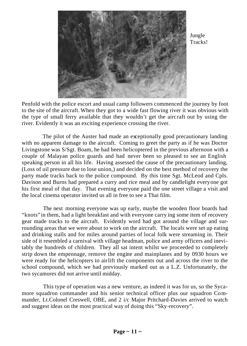

Jungle Tracks!

Penfold with the police escort and usual camp followers commenced the journey by foot to the site of the aircraft. When they got to a wide fast flowing river it was obvious with the type of small ferry available that they wouldn't get the aircraft out by using the river. Evidently it was an exciting experience crossing the river.

The pilot of the Auster had made an exceptionally good precautionary landing with no apparent damage to the aircraft. Coming to greet the party as if he was Doctor Livingstone was S/Sgt. Boam, he had been helicoptered in the previous afternoon with a couple of Malayan police guards and had never been so pleased to see an English speaking person in all his life. Having assessed the cause of the precautionary landing, (Loss of oil pressure due to lose union,) and decided on the best method of recovery the party made tracks back to the police compound. By this time Sgt. McLeod and Cpls. Davison and Burns had prepared a curry and rice meal and by candlelight everyone got his first meal of that day. That evening everyone paid the one street village a visit and the local cinema operator invited us all in free to see a Thai film.

The next morning everyone was up early, maybe the wooden floor boards had "knots" in them, had a light breakfast and with everyone carry ing some item of recovery gear made tracks to the aircraft. Evidently word had got around the village and surrounding areas that we were about to work on the aircraft. The locals were set up eating and drinking stalls and for miles around parties of local folk were streaming in. Their side of it resembled a carnival with village headman, police and army officers and inevitably the hundreds of children. They all sat intent whilst we proceeded to completely strip down the empennage, remove the engine and mainplanes and by 0930 hours we were ready for the helicopters to airlift the components out and across the river to the school compound, which we had previously marked out as a L.Z. Unfortunately, the two sycamores did not arrive until midday.

This type of operation was a new venture, as indeed it was for us, so the Sycamore squadron commander and his senior technical officer plus our squadron Commander, Lt.Colonel Creswell, OBE, and 2 i/c Major Pritchard-Davies arrived to watch and suggest ideas on the most practical way of doing this "Sky-recovery".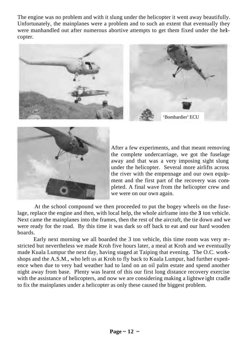The engine was no problem and with it slung under the helicopter it went away beautifully. Unfortunately, the mainplanes were a problem and to such an extent that eventually they were manhandled out after numerous abortive attempts to get them fixed under the helicopter.





After a few experiments, and that meant removing the complete undercarriage, we got the fuselage away and that was a very imposing sight slung under the helicopter. Several more airlifts across the river with the empennage and our own equipment and the first part of the recovery was completed. A final wave from the helicopter crew and we were on our own again.

At the school compound we then proceeded to put the bogey wheels on the fuselage, replace the engine and then, with local help, the whole airframe into the **3** ton vehicle. Next came the mainplanes into the frames, then the rest of the aircraft, the tie down and we were ready for the road. By this time it was dark so off back to eat and our hard wooden boards.

Early next morning we all boarded the 3 ton vehicle, this time room was very restricted but nevertheless we made Kroh five hours later, a meal at Kroh and we eventually made Kuala Lumpur the next day, having staged at Taiping that evening. The O.C. workshops and the A.S.M., who left us at Kroh to fly back to Kuala Lumpur, had further experience when due to very bad weather had to land on an oil palm estate and spend another night away from base. Plenty was learnt of this our first long distance recovery exercise with the assistance of helicopters, and now we are considering making a lightwe ight cradle to fix the mainplanes under a helicopter as only these caused the biggest problem.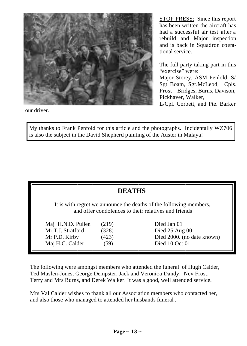

our driver.

STOP PRESS: Since this report has been written the aircraft has had a successful air test after a rebuild and Major inspection and is back in Squadron operational service.

The full party taking part in this "exercise" were:

Major Storey, ASM Penlold, S/ Sgt Boam, Sgt.McLeod, Cpls. Frost—Bridges, Burns, Davison, Pickhaver, Walker,

L/Cpl. Corbett, and Pte. Barker

My thanks to Frank Penfold for this article and the photographs. Incidentally WZ706 is also the subject in the David Shepherd painting of the Auster in Malaya!

| <b>DEATHS</b>                                                                                                              |       |                            |  |
|----------------------------------------------------------------------------------------------------------------------------|-------|----------------------------|--|
| It is with regret we announce the deaths of the following members,<br>and offer condolences to their relatives and friends |       |                            |  |
| Maj H.N.D. Pullen                                                                                                          | (219) | Died Jan 01                |  |
| Mr T.J. Stratford                                                                                                          | (328) | Died 25 Aug 00             |  |
| Mr P.D. Kirby                                                                                                              | (423) | Died 2000. (no date known) |  |
| Maj H.C. Calder                                                                                                            | (59)  | Died 10 Oct 01             |  |

The following were amongst members who attended the funeral of Hugh Calder, Ted Maslen-Jones, George Dempster, Jack and Veronica Dandy, Nev Frost, Terry and Mrs Burns, and Derek Walker. It was a good, well attended service.

Mrs Val Calder wishes to thank all our Association members who contacted her, and also those who managed to attended her husbands funeral .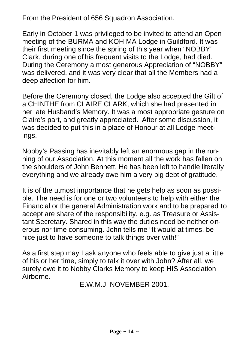From the President of 656 Squadron Association.

Early in October 1 was privileged to be invited to attend an Open meeting of the BURMA and KOHIMA Lodge in Guildford. It was their first meeting since the spring of this year when "NOBBY" Clark, during one of his frequent visits to the Lodge, had died. During the Ceremony a most generous Appreciation of "NOBBY" was delivered, and it was very clear that all the Members had a deep affection for him.

Before the Ceremony closed, the Lodge also accepted the Gift of a CHINTHE from CLAIRE CLARK, which she had presented in her late Husband's Memory. It was a most appropriate gesture on Claire's part, and greatly appreciated. After some discussion, it was decided to put this in a place of Honour at all Lodge meetings.

Nobby's Passing has inevitably left an enormous gap in the running of our Association. At this moment all the work has fallen on the shoulders of John Bennett. He has been left to handle literally everything and we already owe him a very big debt of gratitude.

It is of the utmost importance that he gets help as soon as possible. The need is for one or two volunteers to help with either the Financial or the general Administration work and to be prepared to accept are share of the responsibility, e.g. as Treasure or Assistant Secretary. Shared in this way the duties need be neither onerous nor time consuming. John tells me "It would at times, be nice just to have someone to talk things over with!"

As a first step may I ask anyone who feels able to give just a little of his or her time, simply to talk it over with John? After all, we surely owe it to Nobby Clarks Memory to keep HIS Association Airborne.

E.W.M.J NOVEMBER 2001.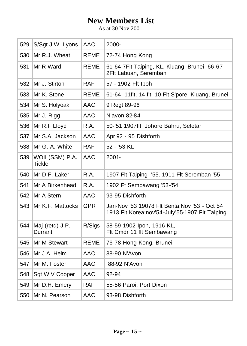## **New Members List**

As at 30 Nov 2001

| 529 | S/Sgt J.W. Lyons                 | AAC         | 2000-                                                                                           |
|-----|----------------------------------|-------------|-------------------------------------------------------------------------------------------------|
| 530 | Mr R.J. Wheat                    | <b>REME</b> | 72-74 Hong Kong                                                                                 |
| 531 | Mr R Ward                        | <b>REME</b> | 61-64 7Flt Taiping, KL, Kluang, Brunei 66-67<br>2Flt Labuan, Seremban                           |
| 532 | Mr J. Stirton                    | <b>RAF</b>  | 57 - 1902 Flt Ipoh                                                                              |
| 533 | Mr K. Stone                      | <b>REME</b> | 61-64 11 flt, 14 flt, 10 Flt S'pore, Kluang, Brunei                                             |
| 534 | Mr S. Holyoak                    | AAC         | 9 Regt 89-96                                                                                    |
| 535 | Mr J. Rigg                       | AAC         | N'avon 82-84                                                                                    |
| 536 | Mr R.F Lloyd                     | R.A.        | 50-'51 1907flt Johore Bahru, Seletar                                                            |
| 537 | Mr S.A. Jackson                  | AAC         | Apr 92 - 95 Dishforth                                                                           |
| 538 | Mr G. A. White                   | <b>RAF</b>  | 52 - '53 KL                                                                                     |
| 539 | WOII (SSM) P.A.<br><b>Tickle</b> | AAC         | $2001 -$                                                                                        |
| 540 | Mr D.F. Laker                    | R.A.        | 1907 Flt Taiping '55. 1911 Flt Seremban '55                                                     |
| 541 | Mr A Birkenhead                  | R.A.        | 1902 Ft Sembawang '53-'54                                                                       |
| 542 | Mr A Stern                       | AAC         | 93-95 Dishforth                                                                                 |
| 543 | Mr K.F. Mattocks                 | <b>GPR</b>  | Jan-Nov '53 19078 Flt Benta; Nov '53 - Oct 54<br>1913 Flt Korea;nov'54-July'55-1907 Flt Taiping |
| 544 | Maj (retd) J.P.<br>Durrant       | R/Sigs      | 58-59 1902 lpoh, 1916 KL,<br>Flt Cmdr 11 flt Sembawang                                          |
| 545 | Mr M Stewart                     | <b>REME</b> | 76-78 Hong Kong, Brunei                                                                         |
| 546 | Mr J.A. Helm                     | AAC         | 88-90 N'Avon                                                                                    |
| 547 | Mr M. Foster                     | AAC         | 88-92 N'Avon                                                                                    |
| 548 | Sgt W.V Cooper                   | AAC         | 92-94                                                                                           |
| 549 | Mr D.H. Emery                    | <b>RAF</b>  | 55-56 Paroi, Port Dixon                                                                         |
| 550 | Mr N. Pearson                    | AAC         | 93-98 Dishforth                                                                                 |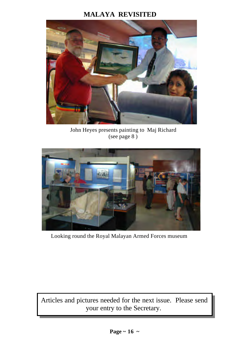## **MALAYA REVISITED**



John Heyes presents painting to Maj Richard (see page 8 )



Looking round the Royal Malayan Armed Forces museum

Articles and pictures needed for the next issue. Please send your entry to the Secretary.